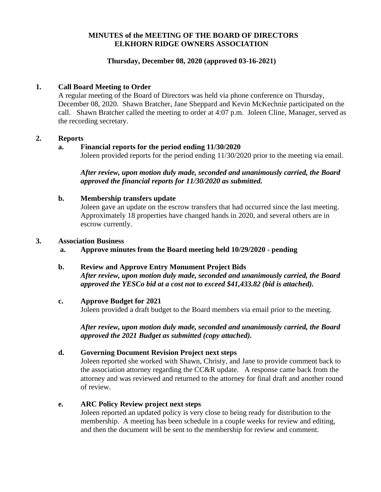## **MINUTES of the MEETING OF THE BOARD OF DIRECTORS ELKHORN RIDGE OWNERS ASSOCIATION**

## **Thursday, December 08, 2020 (approved 03-16-2021)**

## **1. Call Board Meeting to Order**

A regular meeting of the Board of Directors was held via phone conference on Thursday, December 08, 2020. Shawn Bratcher, Jane Sheppard and Kevin McKechnie participated on the call. Shawn Bratcher called the meeting to order at 4:07 p.m. Joleen Cline, Manager, served as the recording secretary.

#### **2. Reports**

### **a. Financial reports for the period ending 11/30/2020**

Joleen provided reports for the period ending 11/30/2020 prior to the meeting via email.

*After review, upon motion duly made, seconded and unanimously carried, the Board approved the financial reports for 11/30/2020 as submitted.*

### **b. Membership transfers update**

Joleen gave an update on the escrow transfers that had occurred since the last meeting. Approximately 18 properties have changed hands in 2020, and several others are in escrow currently.

#### **3. Association Business**

**a. Approve minutes from the Board meeting held 10/29/2020 - pending**

### **b. Review and Approve Entry Monument Project Bids**

*After review, upon motion duly made, seconded and unanimously carried, the Board approved the YESCo bid at a cost not to exceed \$41,433.82 (bid is attached).*

### **c. Approve Budget for 2021**

Joleen provided a draft budget to the Board members via email prior to the meeting.

*After review, upon motion duly made, seconded and unanimously carried, the Board approved the 2021 Budget as submitted (copy attached).*

### **d. Governing Document Revision Project next steps**

Joleen reported she worked with Shawn, Christy, and Jane to provide comment back to the association attorney regarding the CC&R update. A response came back from the attorney and was reviewed and returned to the attorney for final draft and another round of review.

## **e. ARC Policy Review project next steps**

Joleen reported an updated policy is very close to being ready for distribution to the membership. A meeting has been schedule in a couple weeks for review and editing, and then the document will be sent to the membership for review and comment.